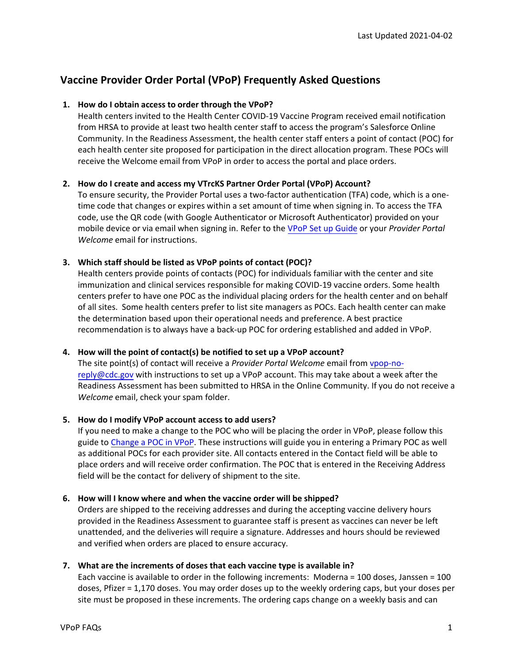# **Vaccine Provider Order Portal (VPoP) Frequently Asked Questions**

## **1. How do I obtain access to order through the VPoP?**

Health centers invited to the Health Center COVID-19 Vaccine Program received email notification from HRSA to provide at least two health center staff to access the program's Salesforce Online Community. In the Readiness Assessment, the health center staff enters a point of contact (POC) for each health center site proposed for participation in the direct allocation program. These POCs will receive the Welcome email from VPoP in order to access the portal and place orders.

## **2. How do I create and access my VTrcKS Partner Order Portal (VPoP) Account?**

To ensure security, the Provider Portal uses a two-factor authentication (TFA) code, which is a onetime code that changes or expires within a set amount of time when signing in. To access the TFA code, use the QR code (with Google Authenticator or Microsoft Authenticator) provided on your mobile device or via email when signing in. Refer to the [VPoP Set up Guide](https://docs.oracle.com/en/industries/health-sciences/vpop-provider/vpopu/get-started-oracle-vpop-provider-portal.html) or your *Provider Portal Welcome* email for instructions.

## **3. Which staff should be listed as VPoP points of contact (POC)?**

Health centers provide points of contacts (POC) for individuals familiar with the center and site immunization and clinical services responsible for making COVID-19 vaccine orders. Some health centers prefer to have one POC as the individual placing orders for the health center and on behalf of all sites. Some health centers prefer to list site managers as POCs. Each health center can make the determination based upon their operational needs and preference. A best practice recommendation is to always have a back-up POC for ordering established and added in VPoP.

## **4. How will the point of contact(s) be notified to set up a VPoP account?**

[The site point\(s\)](mailto:vpop-no-reply@cdc.gov) of contact will receive a *Provider Portal Welcome* email from vpop-noreply@cdc.gov with instructions to set up a VPoP account. This may take about a week after the Readiness Assessment has been submitted to HRSA in the Online Community. If you do not receive a *Welcome* email, check your spam folder.

## **5. How do I modify VPoP account access to add users?**

If you need to make a change to the POC who will be placing the order in VPoP, please follow this guide to [Change a POC in VPoP.](https://docs.oracle.com/en/industries/health-sciences/vpop-provider/vpopu/choose-primary-contact.html) These instructions will guide you in entering a Primary POC as well as additional POCs for each provider site. All contacts entered in the Contact field will be able to place orders and will receive order confirmation. The POC that is entered in the Receiving Address field will be the contact for delivery of shipment to the site.

## **6. How will I know where and when the vaccine order will be shipped?**

Orders are shipped to the receiving addresses and during the accepting vaccine delivery hours provided in the Readiness Assessment to guarantee staff is present as vaccines can never be left unattended, and the deliveries will require a signature. Addresses and hours should be reviewed and verified when orders are placed to ensure accuracy.

## **7. What are the increments of doses that each vaccine type is available in?**

Each vaccine is available to order in the following increments: Moderna = 100 doses, Janssen = 100 doses, Pfizer = 1,170 doses. You may order doses up to the weekly ordering caps, but your doses per site must be proposed in these increments. The ordering caps change on a weekly basis and can